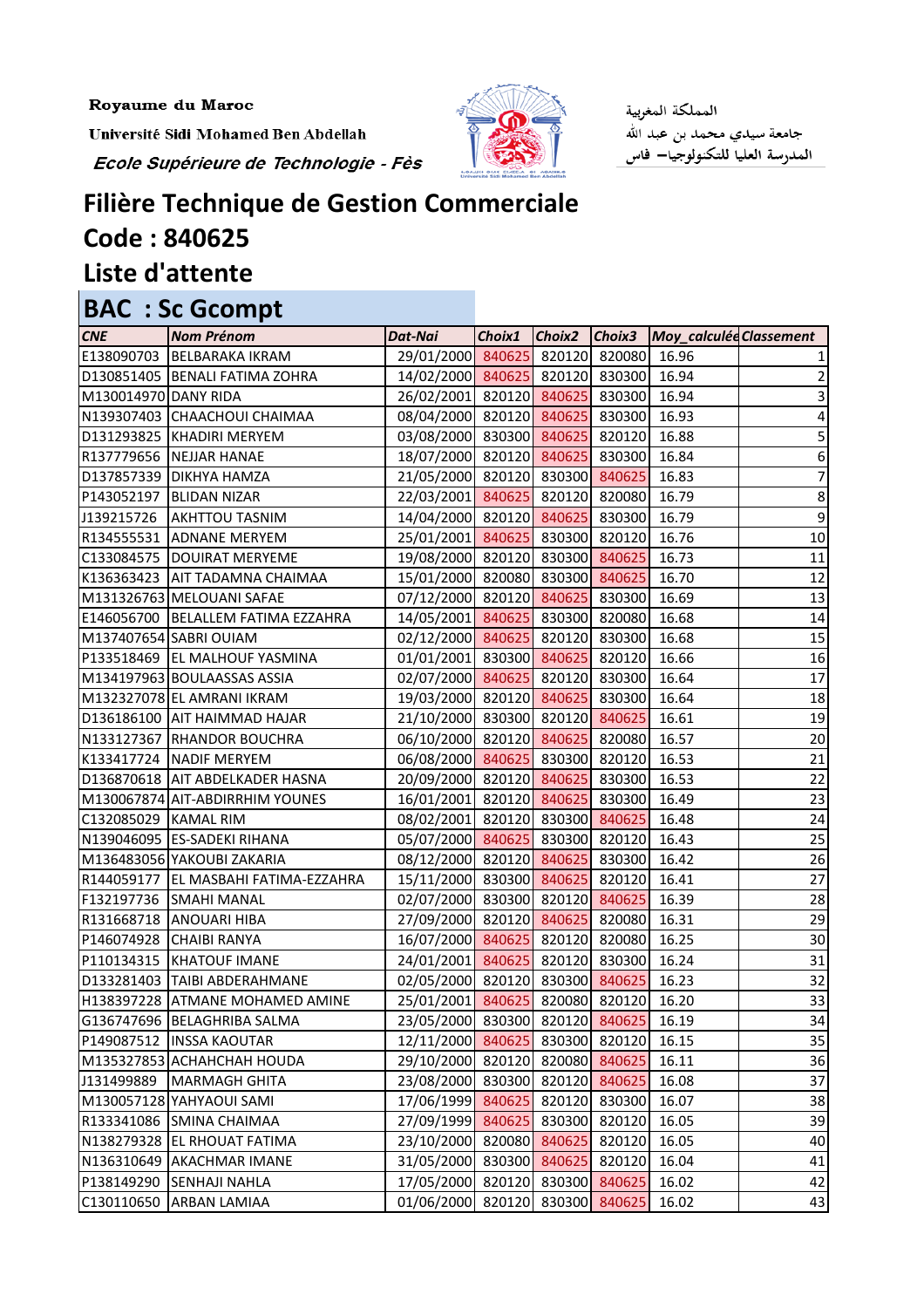Royaume du Maroc

Université Sidi Mohamed Ben Abdellah

Ecole Supérieure de Technologie - Fès



المملكة المغربية جامعة سيدي محمد بن عبد الله<br>المدرسة العليا للتكنولوجيا— فاس

## **Filière Technique de Gestion Commerciale Code : 840625 Liste d'attente**

## **BAC : Sc Gcompt**

| <b>CNE</b>           | <b>Nom Prénom</b>                      | Dat-Nai                               |        |               | Choix1 Choix2 Choix3 Moy_calculée Classement |                 |
|----------------------|----------------------------------------|---------------------------------------|--------|---------------|----------------------------------------------|-----------------|
|                      | E138090703 BELBARAKA IKRAM             | 29/01/2000 840625 820120 820080       |        |               | 16.96                                        |                 |
|                      | D130851405   BENALI FATIMA ZOHRA       | 14/02/2000 840625 820120 830300       |        |               | 16.94                                        | 2               |
| M130014970 DANY RIDA |                                        | 26/02/2001 820120 840625 830300       |        |               | 16.94                                        | 3               |
|                      | N139307403 CHAACHOUI CHAIMAA           | 08/04/2000 820120 840625 830300       |        |               | 16.93                                        | 4               |
|                      | D131293825  KHADIRI MERYEM             | 03/08/2000 830300 840625 820120       |        |               | 16.88                                        | 5               |
|                      | R137779656 NEJJAR HANAE                | 18/07/2000 820120 840625 830300       |        |               | 16.84                                        | 6               |
|                      | D137857339 DIKHYA HAMZA                | 21/05/2000 820120 830300 840625       |        |               | 16.83                                        | 7               |
|                      | P143052197   BLIDAN NIZAR              | 22/03/2001 840625 820120 820080       |        |               | 16.79                                        | $\bf 8$         |
|                      | J139215726   AKHTTOU TASNIM            | 14/04/2000 820120 840625 830300       |        |               | 16.79                                        | 9               |
|                      | R134555531 ADNANE MERYEM               | 25/01/2001 840625 830300 820120       |        |               | 16.76                                        | 10              |
|                      | C133084575  DOUIRAT MERYEME            | 19/08/2000 820120 830300 840625       |        |               | 16.73                                        | 11              |
|                      | K136363423 AIT TADAMNA CHAIMAA         | 15/01/2000 820080 830300 840625       |        |               | 16.70                                        | 12              |
|                      | M131326763 MELOUANI SAFAE              | 07/12/2000 820120 840625 830300       |        |               | 16.69                                        | 13              |
|                      | E146056700 BELALLEM FATIMA EZZAHRA     | 14/05/2001 840625 830300 820080       |        |               | 16.68                                        | 14              |
|                      | M137407654 SABRI OUIAM                 | 02/12/2000 840625 820120 830300       |        |               | 16.68                                        | 15              |
|                      | P133518469 EL MALHOUF YASMINA          | 01/01/2001 830300 840625 820120       |        |               | 16.66                                        | 16              |
|                      | M134197963 BOULAASSAS ASSIA            | 02/07/2000 840625 820120 830300       |        |               | 16.64                                        | 17              |
|                      | M132327078 EL AMRANI IKRAM             | 19/03/2000 820120 840625 830300       |        |               | 16.64                                        | 18              |
|                      | D136186100 AIT HAIMMAD HAJAR           | 21/10/2000 830300 820120 840625       |        |               | 16.61                                        | 19              |
|                      | N133127367 RHANDOR BOUCHRA             | 06/10/2000 820120 840625 820080       |        |               | 16.57                                        | 20              |
|                      | K133417724 NADIF MERYEM                | 06/08/2000 840625 830300 820120       |        |               | 16.53                                        | 21              |
|                      | D136870618 AIT ABDELKADER HASNA        | 20/09/2000 820120 840625 830300       |        |               | 16.53                                        | 22              |
|                      | M130067874 AIT-ABDIRRHIM YOUNES        | 16/01/2001 820120 840625 830300       |        |               | 16.49                                        | 23              |
| C132085029 KAMAL RIM |                                        | 08/02/2001 820120 830300 840625       |        |               | 16.48                                        | 24              |
|                      | N139046095 ES-SADEKI RIHANA            | 05/07/2000 840625 830300 820120       |        |               | 16.43                                        | 25              |
|                      | M136483056 YAKOUBI ZAKARIA             | 08/12/2000 820120 840625 830300       |        |               | 16.42                                        | 26              |
|                      | R144059177   EL MASBAHI FATIMA-EZZAHRA | 15/11/2000 830300 840625 820120       |        |               | 16.41                                        | $\overline{27}$ |
|                      | <b>F132197736 SMAHI MANAL</b>          | 02/07/2000 830300 820120 840625       |        |               | 16.39                                        | 28              |
|                      | R131668718 ANOUARI HIBA                | 27/09/2000 820120 840625 820080       |        |               | 16.31                                        | 29              |
|                      | P146074928 CHAIBI RANYA                | 16/07/2000 840625 820120 820080       |        |               | 16.25                                        | 30              |
|                      | P110134315 KHATOUF IMANE               | 24/01/2001 840625 820120 830300 16.24 |        |               |                                              | 31              |
|                      | D133281403  TAIBI ABDERAHMANE          | 02/05/2000 820120                     | 830300 | 840625        | 16.23                                        | 32              |
|                      | H138397228  ATMANE MOHAMED AMINE       | 25/01/2001 840625 820080 820120       |        |               | 16.20                                        | 33              |
|                      | G136747696 BELAGHRIBA SALMA            | 23/05/2000 830300 820120              |        | 840625        | 16.19                                        | 34              |
|                      | P149087512  INSSA KAOUTAR              | 12/11/2000 840625                     |        | 830300 820120 | 16.15                                        | 35              |
|                      | M135327853 ACHAHCHAH HOUDA             | 29/10/2000 820120                     | 820080 | 840625        | 16.11                                        | 36              |
| J131499889           | MARMAGH GHITA                          | 23/08/2000 830300                     | 820120 | 840625        | 16.08                                        | 37              |
|                      | M130057128 YAHYAOUI SAMI               | 17/06/1999 840625                     | 820120 | 830300        | 16.07                                        | 38              |
|                      | R133341086 SMINA CHAIMAA               | 27/09/1999 840625                     | 830300 | 820120        | 16.05                                        | 39              |
|                      | N138279328 EL RHOUAT FATIMA            | 23/10/2000 820080                     | 840625 | 820120        | 16.05                                        | 40              |
|                      | N136310649 AKACHMAR IMANE              | 31/05/2000 830300                     | 840625 | 820120        | 16.04                                        | 41              |
| P138149290           | <b>SENHAJI NAHLA</b>                   | 17/05/2000 820120                     | 830300 | 840625        | 16.02                                        | 42              |
|                      | C130110650 ARBAN LAMIAA                | 01/06/2000 820120                     | 830300 | 840625        | 16.02                                        | 43              |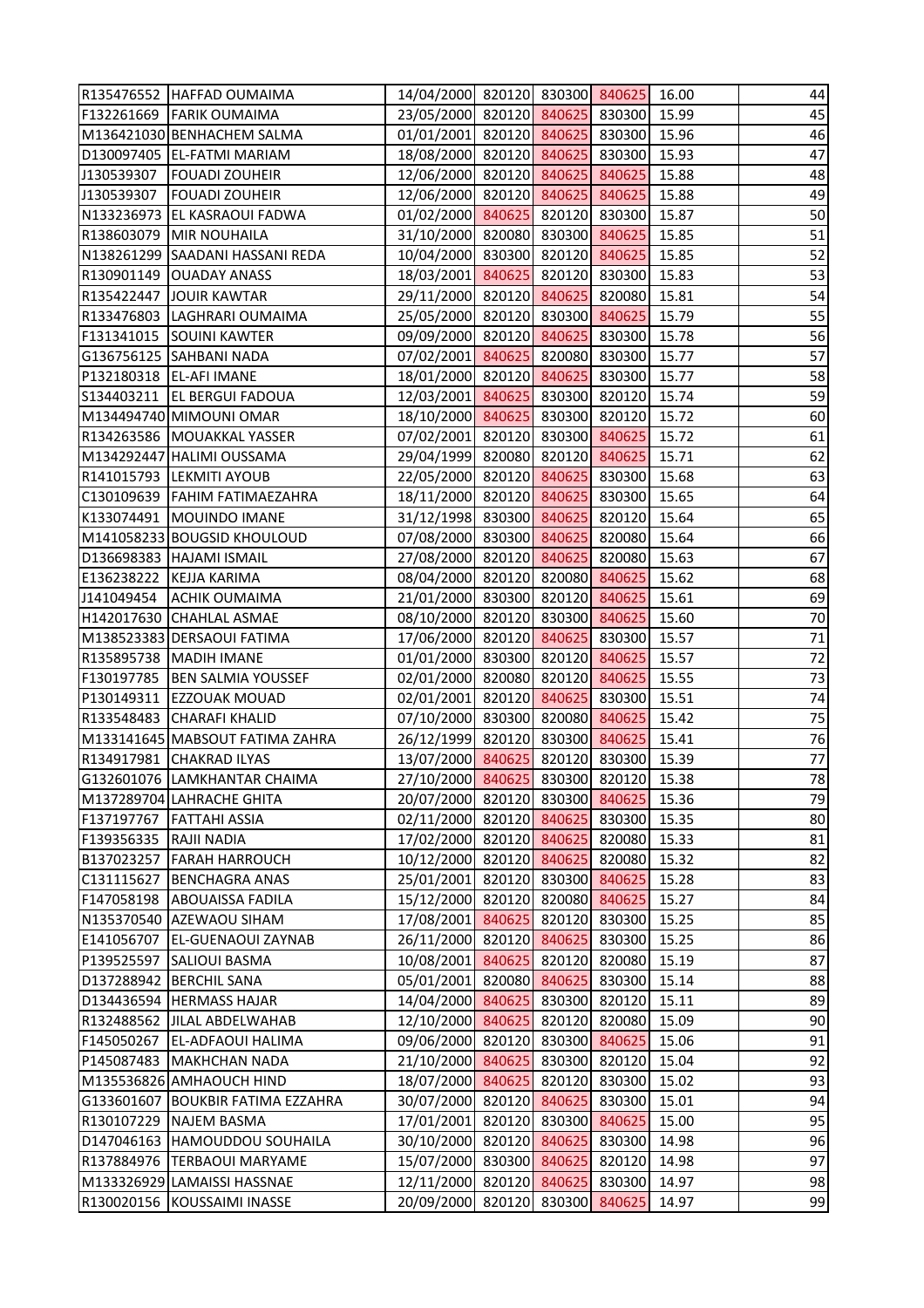|            | R135476552 HAFFAD OUMAIMA         | 14/04/2000 820120 830300 840625       |        |               | 16.00 | 44 |
|------------|-----------------------------------|---------------------------------------|--------|---------------|-------|----|
|            | F132261669 FARIK OUMAIMA          | 23/05/2000 820120 840625 830300       |        |               | 15.99 | 45 |
|            | M136421030 BENHACHEM SALMA        | 01/01/2001 820120 840625 830300       |        |               | 15.96 | 46 |
|            | D130097405 EL-FATMI MARIAM        | 18/08/2000 820120 840625 830300       |        |               | 15.93 | 47 |
| J130539307 | <b>FOUADI ZOUHEIR</b>             | 12/06/2000 820120 840625 840625       |        |               | 15.88 | 48 |
| J130539307 | <b>FOUADI ZOUHEIR</b>             | 12/06/2000 820120 840625 840625       |        |               | 15.88 | 49 |
|            | N133236973 EL KASRAOUI FADWA      | 01/02/2000 840625 820120 830300       |        |               | 15.87 | 50 |
|            | R138603079 MIR NOUHAILA           | 31/10/2000 820080 830300 840625       |        |               | 15.85 | 51 |
|            | N138261299 SAADANI HASSANI REDA   | 10/04/2000 830300 820120 840625       |        |               | 15.85 | 52 |
|            | R130901149 OUADAY ANASS           | 18/03/2001 840625 820120 830300       |        |               | 15.83 | 53 |
|            | R135422447 JOUIR KAWTAR           | 29/11/2000 820120 840625 820080       |        |               | 15.81 | 54 |
|            | R133476803 LAGHRARI OUMAIMA       | 25/05/2000 820120 830300 840625       |        |               | 15.79 | 55 |
|            | F131341015 SOUINI KAWTER          | 09/09/2000 820120 840625 830300       |        |               | 15.78 | 56 |
|            | G136756125   SAHBANI NADA         | 07/02/2001 840625 820080 830300       |        |               | 15.77 | 57 |
|            | P132180318   EL-AFI IMANE         | 18/01/2000 820120 840625 830300       |        |               | 15.77 | 58 |
|            | S134403211   EL BERGUI FADOUA     | 12/03/2001 840625 830300 820120       |        |               | 15.74 | 59 |
|            | M134494740 MIMOUNI OMAR           | 18/10/2000 840625 830300 820120       |        |               | 15.72 | 60 |
|            | R134263586 MOUAKKAL YASSER        | 07/02/2001 820120 830300 840625       |        |               | 15.72 | 61 |
|            | M134292447 HALIMI OUSSAMA         | 29/04/1999 820080 820120 840625       |        |               | 15.71 | 62 |
|            | R141015793 LEKMITI AYOUB          | 22/05/2000 820120 840625 830300       |        |               | 15.68 | 63 |
|            | C130109639   FAHIM FATIMAEZAHRA   | 18/11/2000 820120 840625 830300       |        |               | 15.65 | 64 |
|            | K133074491   MOUINDO IMANE        | 31/12/1998 830300 840625 820120       |        |               | 15.64 | 65 |
|            | M141058233 BOUGSID KHOULOUD       | 07/08/2000 830300 840625 820080       |        |               | 15.64 | 66 |
|            | D136698383 HAJAMI ISMAIL          | 27/08/2000 820120 840625 820080       |        |               | 15.63 | 67 |
|            | E136238222 KEJJA KARIMA           | 08/04/2000 820120 820080 840625       |        |               | 15.62 | 68 |
|            | J141049454 ACHIK OUMAIMA          | 21/01/2000 830300 820120 840625       |        |               | 15.61 | 69 |
|            | H142017630 CHAHLAL ASMAE          | 08/10/2000 820120 830300 840625       |        |               | 15.60 | 70 |
|            | M138523383 DERSAOUI FATIMA        | 17/06/2000 820120 840625 830300       |        |               | 15.57 | 71 |
|            | R135895738   MADIH IMANE          | 01/01/2000 830300 820120 840625       |        |               | 15.57 | 72 |
|            | F130197785   BEN SALMIA YOUSSEF   | 02/01/2000 820080 820120 840625       |        |               | 15.55 | 73 |
|            | P130149311 EZZOUAK MOUAD          | 02/01/2001 820120 840625 830300       |        |               | 15.51 | 74 |
|            | R133548483 CHARAFI KHALID         | 07/10/2000 830300 820080 840625 15.42 |        |               |       | 75 |
|            | M133141645 MABSOUT FATIMA ZAHRA   | 26/12/1999 820120 830300 840625       |        |               | 15.41 | 76 |
|            | R134917981 CHAKRAD ILYAS          | 13/07/2000 840625 820120 830300       |        |               | 15.39 | 77 |
|            | G132601076 LAMKHANTAR CHAIMA      | 27/10/2000 840625 830300 820120       |        |               | 15.38 | 78 |
|            | M137289704 LAHRACHE GHITA         | 20/07/2000 820120 830300 840625       |        |               | 15.36 | 79 |
| F137197767 | <b>FATTAHI ASSIA</b>              | 02/11/2000 820120 840625 830300       |        |               | 15.35 | 80 |
| F139356335 | <b>RAJII NADIA</b>                | 17/02/2000 820120 840625              |        | 820080        | 15.33 | 81 |
| B137023257 | <b>FARAH HARROUCH</b>             | 10/12/2000 820120 840625              |        | 820080        | 15.32 | 82 |
| C131115627 | <b>BENCHAGRA ANAS</b>             | 25/01/2001 820120 830300 840625       |        |               | 15.28 | 83 |
|            | F147058198 ABOUAISSA FADILA       | 15/12/2000 820120 820080 840625       |        |               | 15.27 | 84 |
|            | N135370540 AZEWAOU SIHAM          | 17/08/2001 840625                     |        | 820120 830300 | 15.25 | 85 |
| E141056707 | <b>EL-GUENAOUI ZAYNAB</b>         | 26/11/2000 820120 840625              |        | 830300        | 15.25 | 86 |
| P139525597 | <b>SALIOUI BASMA</b>              | 10/08/2001 840625                     | 820120 | 820080        | 15.19 | 87 |
|            | D137288942 BERCHIL SANA           | 05/01/2001 820080 840625 830300       |        |               | 15.14 | 88 |
|            | D134436594 HERMASS HAJAR          | 14/04/2000 840625                     |        | 830300 820120 | 15.11 | 89 |
|            | R132488562 JILAL ABDELWAHAB       | 12/10/2000 840625                     |        | 820120 820080 | 15.09 | 90 |
| F145050267 | <b>EL-ADFAOUI HALIMA</b>          | 09/06/2000 820120 830300 840625       |        |               | 15.06 | 91 |
|            | P145087483   MAKHCHAN NADA        | 21/10/2000 840625                     | 830300 | 820120        | 15.04 | 92 |
|            | M135536826 AMHAOUCH HIND          | 18/07/2000 840625                     |        | 820120 830300 | 15.02 | 93 |
|            | G133601607 BOUKBIR FATIMA EZZAHRA | 30/07/2000 820120 840625              |        | 830300        | 15.01 | 94 |
|            | R130107229 NAJEM BASMA            | 17/01/2001 820120 830300              |        | 840625        | 15.00 | 95 |
|            | D147046163 HAMOUDDOU SOUHAILA     | 30/10/2000 820120 840625              |        | 830300        | 14.98 | 96 |
|            | R137884976  TERBAOUI MARYAME      | 15/07/2000 830300 840625              |        | 820120        | 14.98 | 97 |
|            | M133326929 LAMAISSI HASSNAE       | 12/11/2000 820120                     | 840625 | 830300        | 14.97 | 98 |
|            | R130020156 KOUSSAIMI INASSE       | 20/09/2000 820120 830300 840625       |        |               | 14.97 | 99 |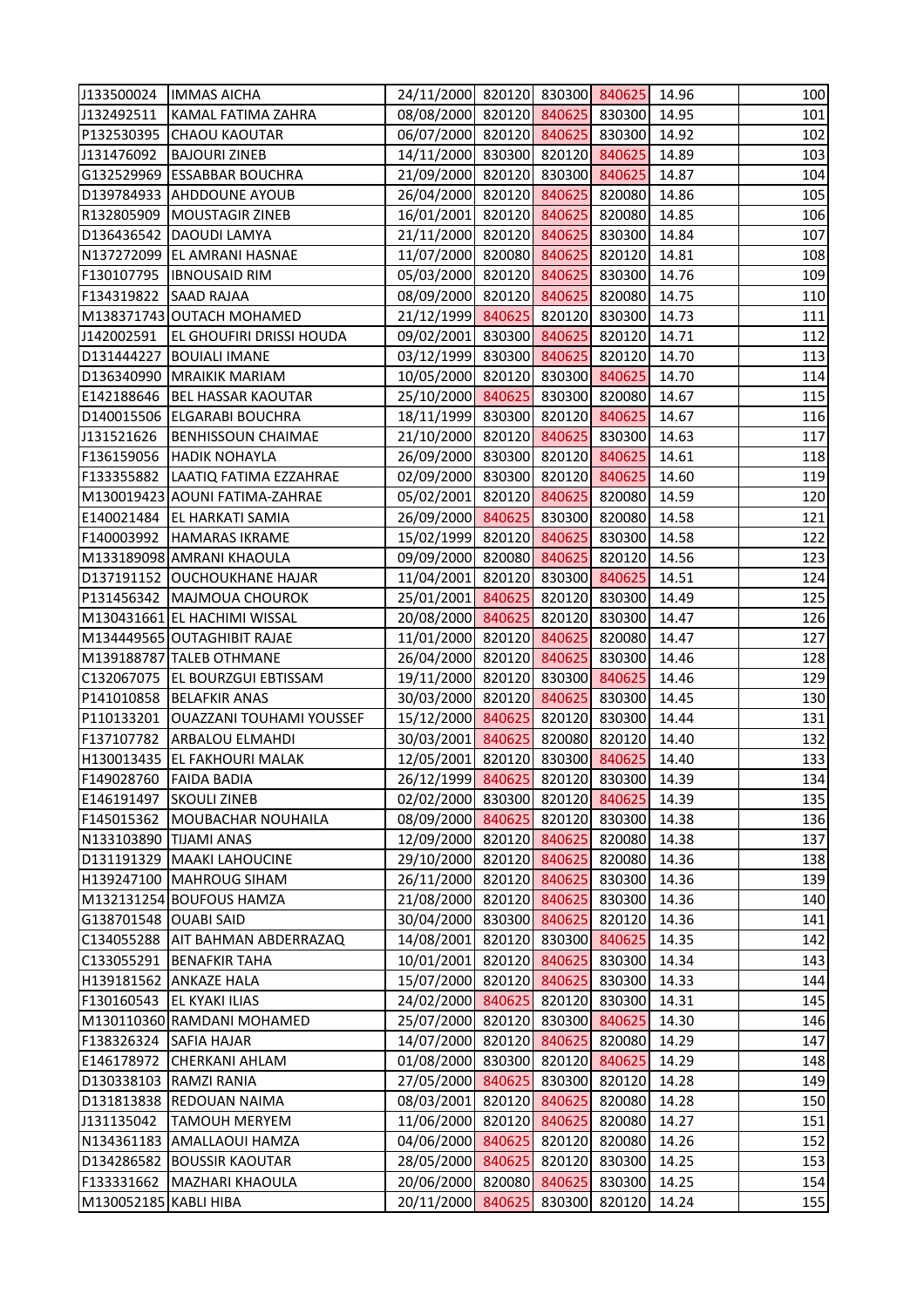|                        | J133500024  IMMAS AICHA               | 24/11/2000 820120 830300 840625       |        |               | 14.96 | 100 |
|------------------------|---------------------------------------|---------------------------------------|--------|---------------|-------|-----|
| J132492511             | KAMAL FATIMA ZAHRA                    | 08/08/2000 820120 840625 830300       |        |               | 14.95 | 101 |
|                        | P132530395 CHAOU KAOUTAR              | 06/07/2000 820120 840625 830300       |        |               | 14.92 | 102 |
|                        | J131476092   BAJOURI ZINEB            | 14/11/2000 830300 820120 840625       |        |               | 14.89 | 103 |
|                        | G132529969 ESSABBAR BOUCHRA           | 21/09/2000 820120 830300 840625       |        |               | 14.87 | 104 |
|                        | D139784933 AHDDOUNE AYOUB             | 26/04/2000 820120 840625 820080       |        |               | 14.86 | 105 |
|                        | R132805909 MOUSTAGIR ZINEB            | 16/01/2001 820120 840625 820080       |        |               | 14.85 | 106 |
|                        | D136436542 DAOUDI LAMYA               | 21/11/2000 820120 840625 830300       |        |               | 14.84 | 107 |
|                        | N137272099 EL AMRANI HASNAE           | 11/07/2000 820080 840625              |        | 820120        | 14.81 | 108 |
|                        | F130107795  IBNOUSAID RIM             | 05/03/2000 820120 840625 830300       |        |               | 14.76 | 109 |
| F134319822 SAAD RAJAA  |                                       | 08/09/2000 820120 840625 820080       |        |               | 14.75 | 110 |
|                        | M138371743 OUTACH MOHAMED             | 21/12/1999 840625 820120 830300       |        |               | 14.73 | 111 |
|                        | J142002591   EL GHOUFIRI DRISSI HOUDA | 09/02/2001 830300 840625 820120       |        |               | 14.71 | 112 |
|                        | D131444227 BOUIALI IMANE              | 03/12/1999 830300 840625 820120       |        |               | 14.70 | 113 |
|                        | D136340990 MRAIKIK MARIAM             | 10/05/2000 820120 830300 840625       |        |               | 14.70 | 114 |
|                        | E142188646   BEL HASSAR KAOUTAR       | 25/10/2000 840625 830300 820080       |        |               | 14.67 | 115 |
|                        | D140015506 ELGARABI BOUCHRA           | 18/11/1999 830300 820120 840625       |        |               | 14.67 | 116 |
|                        | J131521626   BENHISSOUN CHAIMAE       | 21/10/2000 820120 840625 830300       |        |               | 14.63 | 117 |
|                        | F136159056  HADIK NOHAYLA             | 26/09/2000 830300 820120 840625       |        |               | 14.61 | 118 |
|                        | F133355882 LAATIQ FATIMA EZZAHRAE     | 02/09/2000 830300 820120 840625       |        |               | 14.60 | 119 |
|                        | M130019423 AOUNI FATIMA-ZAHRAE        | 05/02/2001 820120 840625 820080       |        |               | 14.59 | 120 |
|                        | E140021484 EL HARKATI SAMIA           | 26/09/2000 840625 830300 820080       |        |               | 14.58 | 121 |
|                        | F140003992 HAMARAS IKRAME             | 15/02/1999 820120 840625 830300       |        |               | 14.58 | 122 |
|                        | M133189098 AMRANI KHAOULA             | 09/09/2000 820080 840625 820120       |        |               | 14.56 | 123 |
|                        | D137191152 OUCHOUKHANE HAJAR          | 11/04/2001 820120 830300 840625       |        |               | 14.51 | 124 |
|                        | P131456342 MAJMOUA CHOUROK            | 25/01/2001 840625 820120 830300       |        |               | 14.49 | 125 |
|                        | M130431661 EL HACHIMI WISSAL          | 20/08/2000 840625 820120 830300       |        |               | 14.47 | 126 |
|                        | M134449565 OUTAGHIBIT RAJAE           | 11/01/2000 820120 840625 820080       |        |               | 14.47 | 127 |
|                        | M139188787 TALEB OTHMANE              | 26/04/2000 820120 840625 830300       |        |               | 14.46 | 128 |
|                        | C132067075   EL BOURZGUI EBTISSAM     | 19/11/2000 820120 830300 840625       |        |               | 14.46 | 129 |
|                        | P141010858 BELAFKIR ANAS              | 30/03/2000 820120 840625 830300       |        |               | 14.45 | 130 |
|                        | P110133201 OUAZZANI TOUHAMI YOUSSEF   | 15/12/2000 840625 820120 830300 14.44 |        |               |       | 131 |
|                        | F137107782 ARBALOU ELMAHDI            | 30/03/2001 840625 820080 820120       |        |               | 14.40 | 132 |
|                        | H130013435 EL FAKHOURI MALAK          | 12/05/2001 820120 830300 840625       |        |               | 14.40 | 133 |
| F149028760 FAIDA BADIA |                                       | 26/12/1999 840625                     |        | 820120 830300 | 14.39 | 134 |
|                        | E146191497 SKOULI ZINEB               | 02/02/2000 830300 820120 840625       |        |               | 14.39 | 135 |
|                        | F145015362 MOUBACHAR NOUHAILA         | 08/09/2000 840625 820120 830300       |        |               | 14.38 | 136 |
| N133103890 TIJAMI ANAS |                                       | 12/09/2000 820120 840625              |        | 820080        | 14.38 | 137 |
|                        | D131191329   MAAKI LAHOUCINE          | 29/10/2000 820120 840625              |        | 820080        | 14.36 | 138 |
|                        | H139247100 MAHROUG SIHAM              | 26/11/2000 820120 840625              |        | 830300        | 14.36 | 139 |
|                        | M132131254 BOUFOUS HAMZA              | 21/08/2000 820120 840625              |        | 830300        | 14.36 | 140 |
| G138701548 OUABI SAID  |                                       | 30/04/2000 830300 840625 820120       |        |               | 14.36 | 141 |
|                        | C134055288   AIT BAHMAN ABDERRAZAQ    | 14/08/2001 820120 830300 840625       |        |               | 14.35 | 142 |
|                        | C133055291 BENAFKIR TAHA              | 10/01/2001 820120 840625              |        | 830300        | 14.34 | 143 |
|                        | H139181562 ANKAZE HALA                | 15/07/2000 820120 840625 830300       |        |               | 14.33 | 144 |
|                        | F130160543 EL KYAKI ILIAS             | 24/02/2000 840625                     |        | 820120 830300 | 14.31 | 145 |
|                        | M130110360 RAMDANI MOHAMED            | 25/07/2000 820120 830300              |        | 840625        | 14.30 | 146 |
| F138326324 SAFIA HAJAR |                                       | 14/07/2000 820120 840625              |        | 820080        | 14.29 | 147 |
| E146178972             | <b>CHERKANI AHLAM</b>                 | 01/08/2000 830300 820120              |        | 840625        | 14.29 | 148 |
|                        | D130338103 RAMZI RANIA                | 27/05/2000 840625                     | 830300 | 820120        | 14.28 | 149 |
|                        | D131813838 REDOUAN NAIMA              | 08/03/2001 820120 840625              |        | 820080        | 14.28 | 150 |
| J131135042             | <b>TAMOUH MERYEM</b>                  | 11/06/2000 820120 840625              |        | 820080        | 14.27 | 151 |
|                        | N134361183 AMALLAOUI HAMZA            | 04/06/2000 840625 820120 820080       |        |               | 14.26 | 152 |
|                        | D134286582 BOUSSIR KAOUTAR            | 28/05/2000 840625                     | 820120 | 830300        | 14.25 | 153 |
| F133331662             | MAZHARI KHAOULA                       | 20/06/2000 820080                     | 840625 | 830300        | 14.25 | 154 |
| M130052185 KABLI HIBA  |                                       | 20/11/2000 840625                     |        | 830300 820120 | 14.24 | 155 |
|                        |                                       |                                       |        |               |       |     |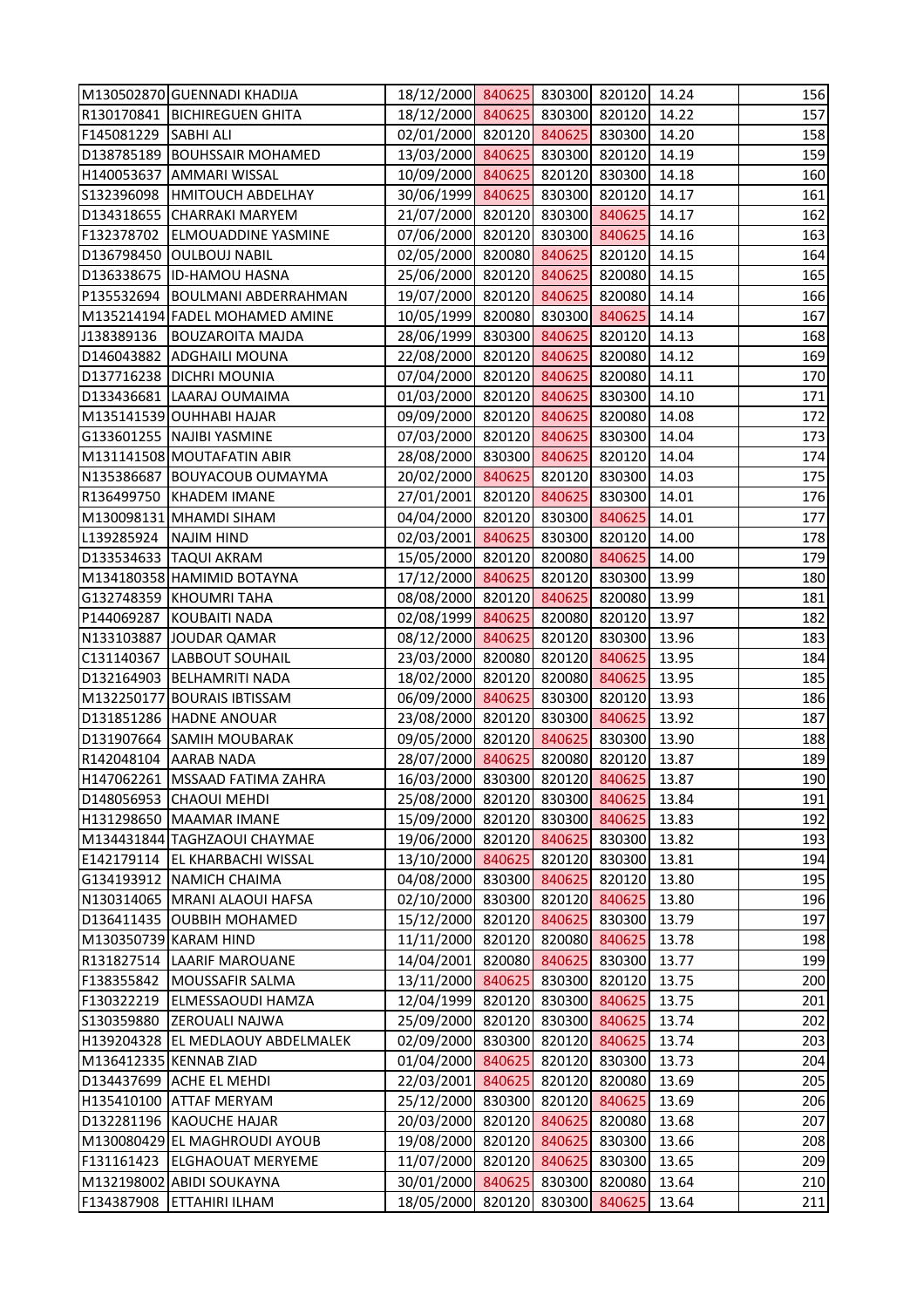|                         | M130502870 GUENNADI KHADIJA       | 18/12/2000 840625 830300 820120 14.24 |        |               |       | 156 |
|-------------------------|-----------------------------------|---------------------------------------|--------|---------------|-------|-----|
|                         | R130170841 BICHIREGUEN GHITA      | 18/12/2000 840625 830300 820120       |        |               | 14.22 | 157 |
| F145081229 SABHI ALI    |                                   | 02/01/2000 820120 840625 830300       |        |               | 14.20 | 158 |
|                         | D138785189 BOUHSSAIR MOHAMED      | 13/03/2000 840625 830300 820120       |        |               | 14.19 | 159 |
|                         | H140053637 AMMARI WISSAL          | 10/09/2000 840625 820120 830300       |        |               | 14.18 | 160 |
|                         | S132396098  HMITOUCH ABDELHAY     | 30/06/1999 840625 830300 820120       |        |               | 14.17 | 161 |
|                         | D134318655 CHARRAKI MARYEM        | 21/07/2000 820120 830300 840625       |        |               | 14.17 | 162 |
|                         | F132378702 ELMOUADDINE YASMINE    | 07/06/2000 820120 830300 840625       |        |               | 14.16 | 163 |
|                         | D136798450 OULBOUJ NABIL          | 02/05/2000 820080 840625              |        | 820120        | 14.15 | 164 |
|                         | D136338675 ID-HAMOU HASNA         | 25/06/2000 820120 840625 820080       |        |               | 14.15 | 165 |
|                         | P135532694   BOULMANI ABDERRAHMAN | 19/07/2000 820120 840625 820080       |        |               | 14.14 | 166 |
|                         | M135214194 FADEL MOHAMED AMINE    | 10/05/1999 820080 830300 840625       |        |               | 14.14 | 167 |
|                         | J138389136   BOUZAROITA MAJDA     | 28/06/1999 830300 840625 820120       |        |               | 14.13 | 168 |
|                         | D146043882 ADGHAILI MOUNA         | 22/08/2000 820120 840625 820080       |        |               | 14.12 | 169 |
|                         | D137716238 DICHRI MOUNIA          | 07/04/2000 820120 840625 820080       |        |               | 14.11 | 170 |
|                         | D133436681 LAARAJ OUMAIMA         | 01/03/2000 820120 840625 830300       |        |               | 14.10 | 171 |
|                         | M135141539 OUHHABI HAJAR          | 09/09/2000 820120 840625 820080       |        |               | 14.08 | 172 |
|                         | G133601255 NAJIBI YASMINE         | 07/03/2000 820120 840625 830300       |        |               | 14.04 | 173 |
|                         | M131141508 MOUTAFATIN ABIR        | 28/08/2000 830300 840625 820120       |        |               | 14.04 | 174 |
|                         | N135386687 BOUYACOUB OUMAYMA      | 20/02/2000 840625 820120 830300       |        |               | 14.03 | 175 |
|                         | R136499750 KHADEM IMANE           | 27/01/2001 820120 840625 830300       |        |               | 14.01 | 176 |
|                         | M130098131 MHAMDI SIHAM           | 04/04/2000 820120 830300 840625       |        |               | 14.01 | 177 |
| L139285924   NAJIM HIND |                                   | 02/03/2001 840625 830300 820120       |        |               | 14.00 | 178 |
|                         | D133534633  TAQUI AKRAM           | 15/05/2000 820120 820080 840625       |        |               | 14.00 | 179 |
|                         | M134180358 HAMIMID BOTAYNA        | 17/12/2000 840625 820120 830300       |        |               | 13.99 | 180 |
|                         | G132748359 KHOUMRI TAHA           | 08/08/2000 820120 840625 820080       |        |               | 13.99 | 181 |
|                         | P144069287 KOUBAITI NADA          | 02/08/1999 840625 820080 820120       |        |               | 13.97 | 182 |
|                         | N133103887 JOUDAR QAMAR           | 08/12/2000 840625 820120 830300       |        |               | 13.96 | 183 |
|                         | C131140367 LABBOUT SOUHAIL        | 23/03/2000 820080 820120 840625       |        |               | 13.95 | 184 |
|                         | D132164903 BELHAMRITI NADA        | 18/02/2000 820120 820080 840625       |        |               | 13.95 | 185 |
|                         | M132250177 BOURAIS IBTISSAM       | 06/09/2000 840625 830300 820120       |        |               | 13.93 | 186 |
|                         | D131851286 HADNE ANOUAR           | 23/08/2000 820120 830300 840625 13.92 |        |               |       | 187 |
|                         | D131907664 SAMIH MOUBARAK         | 09/05/2000 820120 840625              |        | 830300        | 13.90 | 188 |
|                         | R142048104 AARAB NADA             | 28/07/2000 840625 820080 820120       |        |               | 13.87 | 189 |
|                         | H147062261   MSSAAD FATIMA ZAHRA  | 16/03/2000 830300 820120 840625       |        |               | 13.87 | 190 |
|                         | D148056953 CHAOUI MEHDI           | 25/08/2000 820120 830300 840625       |        |               | 13.84 | 191 |
|                         | H131298650 MAAMAR IMANE           | 15/09/2000 820120 830300 840625       |        |               | 13.83 | 192 |
|                         | M134431844 TAGHZAOUI CHAYMAE      | 19/06/2000 820120 840625              |        | 830300        | 13.82 | 193 |
|                         | E142179114 EL KHARBACHI WISSAL    | 13/10/2000 840625                     |        | 820120 830300 | 13.81 | 194 |
|                         | G134193912 NAMICH CHAIMA          | 04/08/2000 830300 840625 820120       |        |               | 13.80 | 195 |
|                         | N130314065   MRANI ALAOUI HAFSA   | 02/10/2000 830300 820120 840625       |        |               | 13.80 | 196 |
|                         | D136411435 OUBBIH MOHAMED         | 15/12/2000 820120 840625 830300       |        |               | 13.79 | 197 |
|                         | M130350739 KARAM HIND             | 11/11/2000 820120 820080              |        | 840625        | 13.78 | 198 |
|                         | R131827514   LAARIF MAROUANE      | 14/04/2001 820080 840625              |        | 830300        | 13.77 | 199 |
| F138355842              | MOUSSAFIR SALMA                   | 13/11/2000 840625 830300 820120       |        |               | 13.75 | 200 |
|                         | F130322219 ELMESSAOUDI HAMZA      | 12/04/1999 820120 830300              |        | 840625        | 13.75 | 201 |
|                         | S130359880 ZEROUALI NAJWA         | 25/09/2000 820120 830300              |        | 840625        | 13.74 | 202 |
|                         | H139204328 EL MEDLAOUY ABDELMALEK | 02/09/2000 830300 820120 840625       |        |               | 13.74 | 203 |
|                         | M136412335 KENNAB ZIAD            | 01/04/2000 840625                     | 820120 | 830300        | 13.73 | 204 |
|                         | D134437699 ACHE EL MEHDI          | 22/03/2001 840625                     |        | 820120 820080 | 13.69 | 205 |
|                         | H135410100 ATTAF MERYAM           | 25/12/2000 830300 820120 840625       |        |               | 13.69 | 206 |
|                         | D132281196 KAOUCHE HAJAR          | 20/03/2000 820120 840625              |        | 820080        | 13.68 | 207 |
|                         | M130080429 EL MAGHROUDI AYOUB     | 19/08/2000 820120 840625              |        | 830300        | 13.66 | 208 |
|                         | F131161423 ELGHAOUAT MERYEME      | 11/07/2000 820120 840625              |        | 830300        | 13.65 | 209 |
|                         | M132198002 ABIDI SOUKAYNA         | 30/01/2000 840625                     | 830300 | 820080        | 13.64 | 210 |
| F134387908              | <b>ETTAHIRI ILHAM</b>             | 18/05/2000 820120 830300              |        | 840625        | 13.64 | 211 |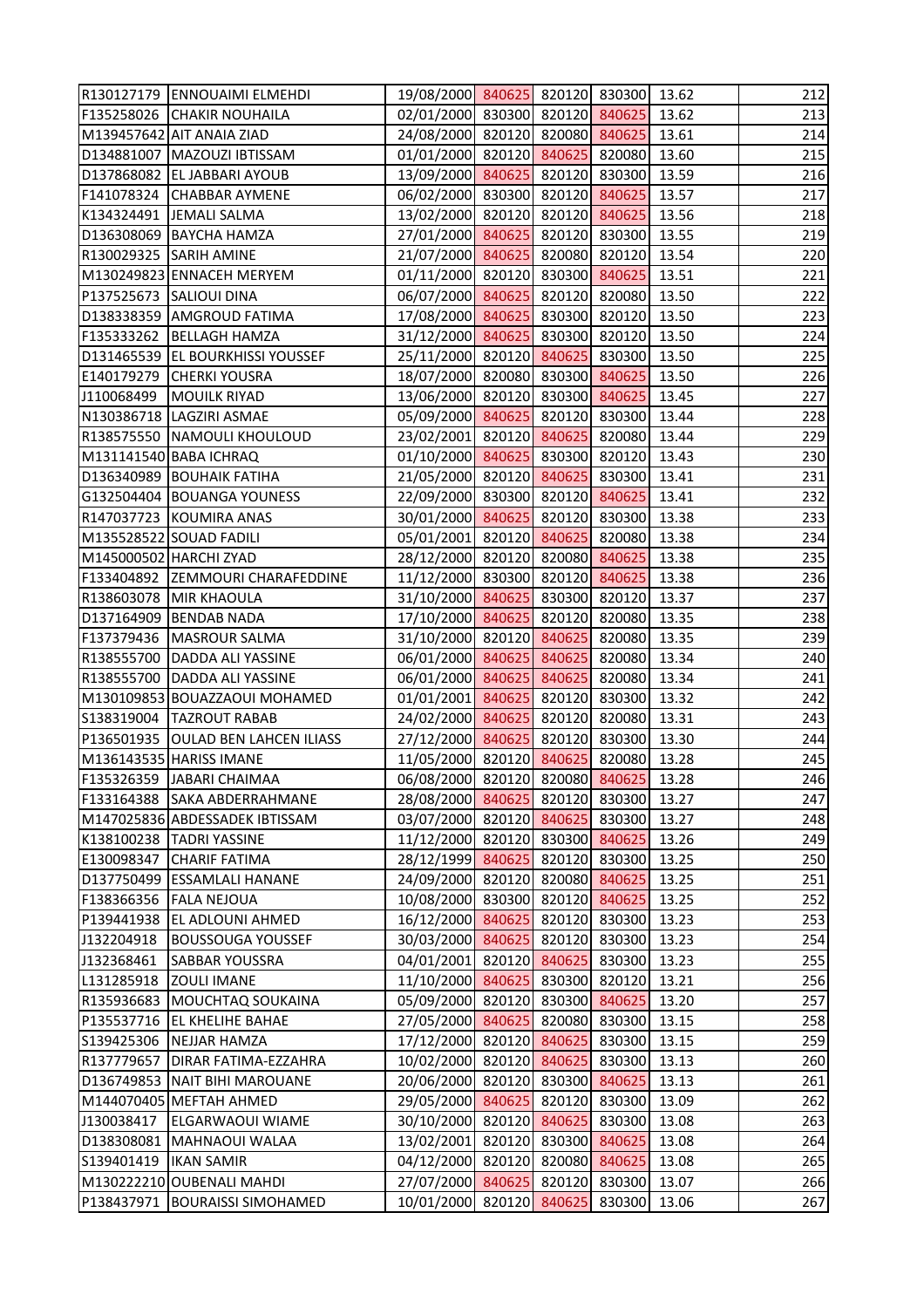|            | R130127179 ENNOUAIMI ELMEHDI         | 19/08/2000 840625 820120 830300       |        |               | 13.62 | 212 |
|------------|--------------------------------------|---------------------------------------|--------|---------------|-------|-----|
|            | F135258026 CHAKIR NOUHAILA           | 02/01/2000 830300 820120 840625       |        |               | 13.62 | 213 |
|            | M139457642 AIT ANAIA ZIAD            | 24/08/2000 820120 820080 840625       |        |               | 13.61 | 214 |
|            | D134881007   MAZOUZI IBTISSAM        | 01/01/2000 820120 840625 820080       |        |               | 13.60 | 215 |
|            | D137868082 EL JABBARI AYOUB          | 13/09/2000 840625 820120 830300       |        |               | 13.59 | 216 |
|            | F141078324 CHABBAR AYMENE            | 06/02/2000 830300 820120 840625       |        |               | 13.57 | 217 |
|            | K134324491 JEMALI SALMA              | 13/02/2000 820120 820120 840625       |        |               | 13.56 | 218 |
|            | D136308069 BAYCHA HAMZA              | 27/01/2000 840625 820120 830300       |        |               | 13.55 | 219 |
|            | R130029325 SARIH AMINE               | 21/07/2000 840625 820080 820120       |        |               | 13.54 | 220 |
|            | M130249823 ENNACEH MERYEM            | 01/11/2000 820120 830300 840625       |        |               | 13.51 | 221 |
|            | P137525673 SALIOUI DINA              | 06/07/2000 840625 820120 820080       |        |               | 13.50 | 222 |
|            | D138338359 AMGROUD FATIMA            | 17/08/2000 840625 830300 820120       |        |               | 13.50 | 223 |
|            | F135333262 BELLAGH HAMZA             | 31/12/2000 840625 830300 820120       |        |               | 13.50 | 224 |
|            | D131465539 EL BOURKHISSI YOUSSEF     | 25/11/2000 820120 840625 830300       |        |               | 13.50 | 225 |
|            | E140179279 CHERKI YOUSRA             | 18/07/2000 820080 830300 840625       |        |               | 13.50 | 226 |
| J110068499 | <b>MOUILK RIYAD</b>                  | 13/06/2000 820120 830300 840625       |        |               | 13.45 | 227 |
|            | N130386718 LAGZIRI ASMAE             | 05/09/2000 840625 820120 830300       |        |               | 13.44 | 228 |
|            | R138575550 NAMOULI KHOULOUD          | 23/02/2001 820120 840625 820080       |        |               | 13.44 | 229 |
|            | M131141540 BABA ICHRAQ               | 01/10/2000 840625 830300 820120       |        |               | 13.43 | 230 |
|            | D136340989 BOUHAIK FATIHA            | 21/05/2000 820120 840625 830300       |        |               | 13.41 | 231 |
|            | G132504404 BOUANGA YOUNESS           | 22/09/2000 830300 820120 840625       |        |               | 13.41 | 232 |
|            | R147037723 KOUMIRA ANAS              | 30/01/2000 840625 820120 830300       |        |               | 13.38 | 233 |
|            | M135528522 SOUAD FADILI              | 05/01/2001 820120 840625 820080       |        |               | 13.38 | 234 |
|            | M145000502 HARCHI ZYAD               | 28/12/2000 820120 820080 840625       |        |               | 13.38 | 235 |
|            | F133404892 ZEMMOURI CHARAFEDDINE     | 11/12/2000 830300 820120 840625       |        |               | 13.38 | 236 |
|            | R138603078 MIR KHAOULA               | 31/10/2000 840625 830300 820120       |        |               | 13.37 | 237 |
|            | D137164909 BENDAB NADA               | 17/10/2000 840625 820120 820080       |        |               | 13.35 | 238 |
|            | F137379436   MASROUR SALMA           | 31/10/2000 820120 840625 820080       |        |               | 13.35 | 239 |
|            | R138555700 DADDA ALI YASSINE         | 06/01/2000 840625 840625 820080       |        |               | 13.34 | 240 |
|            | R138555700 DADDA ALI YASSINE         | 06/01/2000 840625 840625 820080       |        |               | 13.34 | 241 |
|            | M130109853 BOUAZZAOUI MOHAMED        | 01/01/2001 840625 820120 830300       |        |               | 13.32 | 242 |
|            | S138319004   TAZROUT RABAB           | 24/02/2000 840625 820120 820080 13.31 |        |               |       | 243 |
|            | P136501935   OULAD BEN LAHCEN ILIASS | 27/12/2000 840625 820120 830300       |        |               | 13.30 | 244 |
|            | M136143535 HARISS IMANE              | 11/05/2000 820120 840625 820080       |        |               | 13.28 | 245 |
|            | F135326359 JJABARI CHAIMAA           | 06/08/2000 820120 820080 840625       |        |               | 13.28 | 246 |
|            | F133164388 SAKA ABDERRAHMANE         | 28/08/2000 840625                     |        | 820120 830300 | 13.27 | 247 |
|            | M147025836 ABDESSADEK IBTISSAM       | 03/07/2000 820120 840625 830300       |        |               | 13.27 | 248 |
|            | K138100238  TADRI YASSINE            | 11/12/2000 820120 830300              |        | 840625        | 13.26 | 249 |
|            | E130098347 CHARIF FATIMA             | 28/12/1999 840625                     |        | 820120 830300 | 13.25 | 250 |
|            | D137750499 ESSAMLALI HANANE          | 24/09/2000 820120 820080 840625       |        |               | 13.25 | 251 |
|            | F138366356   FALA NEJOUA             | 10/08/2000 830300 820120 840625       |        |               | 13.25 | 252 |
|            | P139441938 EL ADLOUNI AHMED          | 16/12/2000 840625                     |        | 820120 830300 | 13.23 | 253 |
| J132204918 | <b>BOUSSOUGA YOUSSEF</b>             | 30/03/2000 840625                     |        | 820120 830300 | 13.23 | 254 |
| J132368461 | <b>SABBAR YOUSSRA</b>                | 04/01/2001 820120 840625              |        | 830300        | 13.23 | 255 |
| L131285918 | <b>ZOULI IMANE</b>                   | 11/10/2000 840625 830300 820120       |        |               | 13.21 | 256 |
|            | R135936683 MOUCHTAQ SOUKAINA         | 05/09/2000 820120 830300              |        | 840625        | 13.20 | 257 |
|            | P135537716 EL KHELIHE BAHAE          | 27/05/2000 840625                     |        | 820080 830300 | 13.15 | 258 |
| S139425306 | <b>NEJJAR HAMZA</b>                  | 17/12/2000 820120 840625              |        | 830300        | 13.15 | 259 |
| R137779657 | DIRAR FATIMA-EZZAHRA                 | 10/02/2000 820120 840625              |        | 830300        | 13.13 | 260 |
|            | D136749853 NAIT BIHI MAROUANE        | 20/06/2000 820120 830300              |        | 840625        | 13.13 | 261 |
|            | M144070405 MEFTAH AHMED              | 29/05/2000 840625                     |        | 820120 830300 | 13.09 | 262 |
| J130038417 | <b>ELGARWAOUI WIAME</b>              | 30/10/2000 820120 840625              |        | 830300        | 13.08 | 263 |
|            | D138308081 MAHNAOUI WALAA            | 13/02/2001 820120 830300 840625       |        |               | 13.08 | 264 |
| S139401419 | <b>IKAN SAMIR</b>                    | 04/12/2000 820120                     | 820080 | 840625        | 13.08 | 265 |
|            | M130222210 OUBENALI MAHDI            | 27/07/2000 840625                     | 820120 | 830300        | 13.07 | 266 |
|            | P138437971   BOURAISSI SIMOHAMED     | 10/01/2000 820120 840625              |        | 830300        | 13.06 | 267 |
|            |                                      |                                       |        |               |       |     |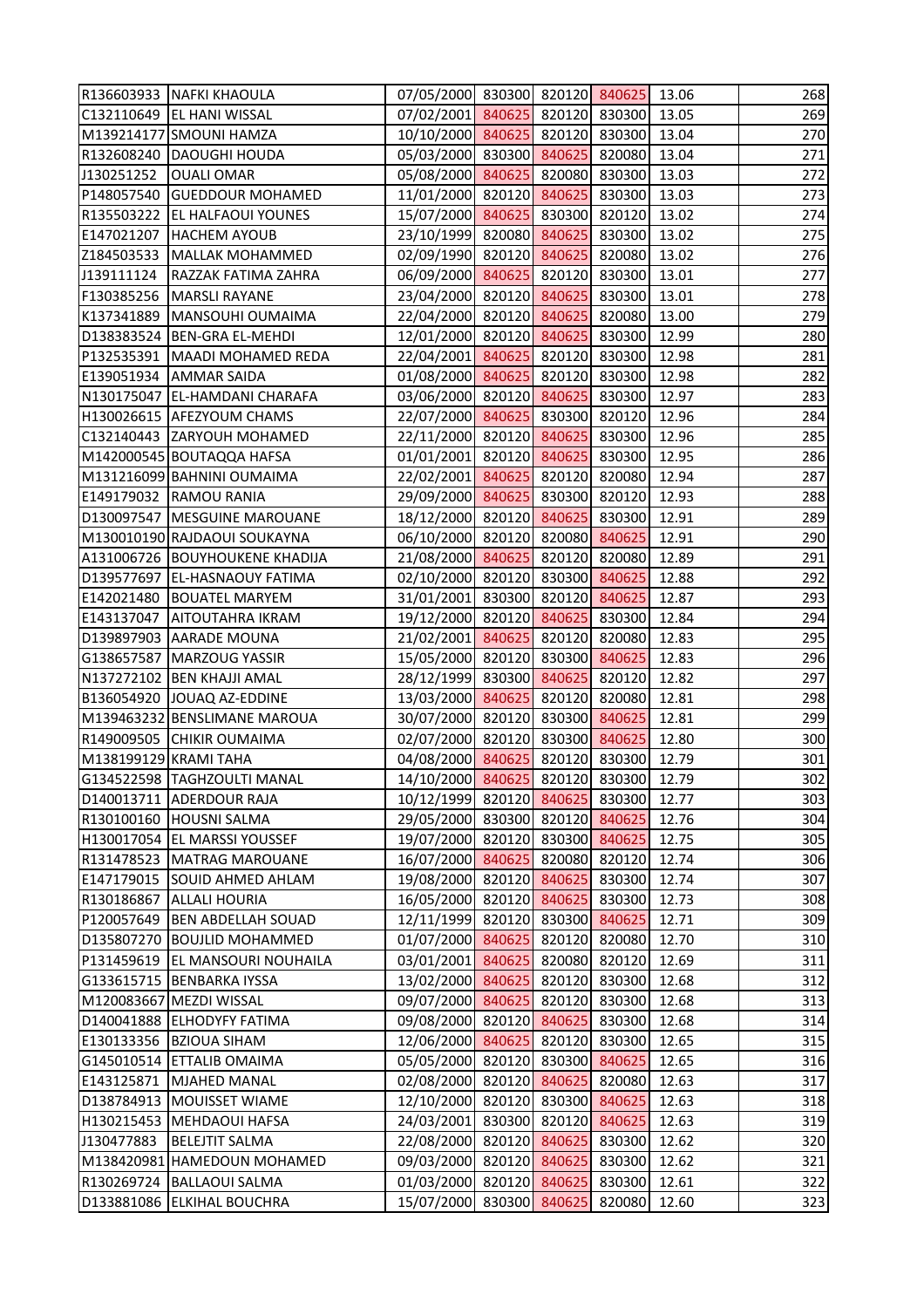|                       | R136603933 NAFKI KHAOULA                                     | 07/05/2000 830300 820120 840625 13.06         |        |                  |                | 268        |
|-----------------------|--------------------------------------------------------------|-----------------------------------------------|--------|------------------|----------------|------------|
|                       | C132110649   EL HANI WISSAL                                  | 07/02/2001 840625 820120 830300               |        |                  | 13.05          | 269        |
|                       | M139214177 SMOUNI HAMZA                                      | 10/10/2000 840625 820120 830300               |        |                  | 13.04          | 270        |
|                       | R132608240   DAOUGHI HOUDA                                   | 05/03/2000 830300 840625 820080               |        |                  | 13.04          | 271        |
| J130251252            | <b>OUALI OMAR</b>                                            | 05/08/2000 840625 820080 830300               |        |                  | 13.03          | 272        |
|                       | P148057540 GUEDDOUR MOHAMED                                  | 11/01/2000 820120 840625 830300               |        |                  | 13.03          | 273        |
|                       | R135503222 EL HALFAOUI YOUNES                                | 15/07/2000 840625 830300 820120               |        |                  | 13.02          | 274        |
| E147021207            | <b>HACHEM AYOUB</b>                                          | 23/10/1999 820080 840625 830300               |        |                  | 13.02          | 275        |
| Z184503533            | <b>MALLAK MOHAMMED</b>                                       | 02/09/1990 820120 840625                      |        | 820080           | 13.02          | 276        |
| J139111124            | RAZZAK FATIMA ZAHRA                                          | 06/09/2000 840625 820120 830300               |        |                  | 13.01          | 277        |
|                       | F130385256   MARSLI RAYANE                                   | 23/04/2000 820120 840625 830300               |        |                  | 13.01          | 278        |
|                       | K137341889   MANSOUHI OUMAIMA                                | 22/04/2000 820120 840625 820080               |        |                  | 13.00          | 279        |
|                       | D138383524 BEN-GRA EL-MEHDI                                  | 12/01/2000 820120 840625 830300               |        |                  | 12.99          | 280        |
|                       | P132535391   MAADI MOHAMED REDA                              | 22/04/2001 840625 820120 830300               |        |                  | 12.98          | 281        |
|                       | E139051934   AMMAR SAIDA                                     | 01/08/2000 840625 820120 830300               |        |                  | 12.98          | 282        |
|                       | N130175047 EL-HAMDANI CHARAFA                                | 03/06/2000 820120 840625 830300               |        |                  | 12.97          | 283        |
|                       | H130026615 AFEZYOUM CHAMS                                    | 22/07/2000 840625 830300 820120               |        |                  | 12.96          | 284        |
|                       | C132140443 ZARYOUH MOHAMED                                   | 22/11/2000 820120 840625 830300               |        |                  | 12.96          | 285        |
|                       | M142000545 BOUTAQQA HAFSA                                    | 01/01/2001 820120 840625 830300               |        |                  | 12.95          | 286        |
|                       | M131216099 BAHNINI OUMAIMA                                   | 22/02/2001 840625 820120 820080               |        |                  | 12.94          | 287        |
|                       | E149179032 RAMOU RANIA                                       | 29/09/2000 840625 830300 820120               |        |                  | 12.93          | 288        |
|                       | D130097547   MESGUINE MAROUANE                               | 18/12/2000 820120 840625 830300               |        |                  | 12.91          | 289        |
|                       | M130010190 RAJDAOUI SOUKAYNA                                 | 06/10/2000 820120 820080 840625               |        |                  | 12.91          | 290        |
|                       | A131006726 BOUYHOUKENE KHADIJA                               | 21/08/2000 840625 820120 820080               |        |                  | 12.89          | 291        |
|                       | D139577697 EL-HASNAOUY FATIMA                                | 02/10/2000 820120 830300 840625               |        |                  | 12.88          | 292        |
| E142021480            | <b>BOUATEL MARYEM</b>                                        | 31/01/2001 830300 820120 840625               |        |                  | 12.87          | 293        |
|                       | E143137047   AITOUTAHRA IKRAM                                | 19/12/2000 820120 840625 830300               |        |                  | 12.84          | 294        |
|                       | D139897903 AARADE MOUNA                                      | 21/02/2001 840625 820120 820080               |        |                  | 12.83          | 295        |
|                       | G138657587   MARZOUG YASSIR                                  | 15/05/2000 820120 830300 840625               |        |                  | 12.83          | 296        |
|                       | N137272102 BEN KHAJJI AMAL                                   | 28/12/1999 830300 840625 820120               |        |                  | 12.82          | 297        |
|                       | B136054920 JOUAQ AZ-EDDINE                                   | 13/03/2000 840625 820120 820080               |        |                  | 12.81          | 298        |
|                       | M139463232 BENSLIMANE MAROUA                                 | 30/07/2000 820120 830300 840625 12.81         |        |                  |                | 299        |
|                       | R149009505 CHIKIR OUMAIMA                                    | 02/07/2000 820120 830300                      |        | 840625           | 12.80          | 300        |
| M138199129 KRAMI TAHA |                                                              | 04/08/2000 840625                             |        | 820120 830300    | 12.79          | 301        |
|                       | G134522598  TAGHZOULTI MANAL                                 | 14/10/2000 840625                             |        | 820120 830300    | 12.79          | 302        |
|                       | D140013711 ADERDOUR RAJA                                     | 10/12/1999 820120 840625                      |        | 830300           | 12.77          | 303        |
|                       | R130100160 HOUSNI SALMA                                      | 29/05/2000 830300 820120 840625               |        |                  | 12.76          | 304        |
|                       |                                                              | 19/07/2000 820120                             | 830300 |                  |                |            |
|                       | H130017054 EL MARSSI YOUSSEF<br>R131478523   MATRAG MAROUANE | 16/07/2000 840625                             |        | 840625<br>820120 | 12.75<br>12.74 | 305<br>306 |
| E147179015            | <b>SOUID AHMED AHLAM</b>                                     | 19/08/2000 820120 840625                      | 820080 | 830300           | 12.74          | 307        |
| R130186867            | <b>ALLALI HOURIA</b>                                         | 16/05/2000 820120 840625                      |        | 830300           | 12.73          | 308        |
|                       | P120057649  BEN ABDELLAH SOUAD                               | 12/11/1999 820120 830300                      |        | 840625           | 12.71          | 309        |
|                       | D135807270 BOUJLID MOHAMMED                                  | 01/07/2000 840625                             | 820120 |                  | 12.70          | 310        |
|                       | P131459619   EL MANSOURI NOUHAILA                            | 03/01/2001 840625                             | 820080 | 820080<br>820120 | 12.69          | 311        |
|                       | G133615715 BENBARKA IYSSA                                    | 13/02/2000 840625                             | 820120 | 830300           | 12.68          | 312        |
|                       |                                                              |                                               |        |                  |                |            |
|                       | M120083667 MEZDI WISSAL                                      | 09/07/2000 840625                             | 820120 | 830300           | 12.68          | 313        |
|                       | D140041888 ELHODYFY FATIMA                                   | 09/08/2000 820120 840625                      |        | 830300           | 12.68          | 314<br>315 |
|                       | E130133356   BZIOUA SIHAM                                    | 12/06/2000 840625                             |        | 820120 830300    | 12.65          |            |
| E143125871            | G145010514 ETTALIB OMAIMA<br><b>MJAHED MANAL</b>             | 05/05/2000 820120 830300<br>02/08/2000 820120 | 840625 | 840625<br>820080 | 12.65          | 316<br>317 |
|                       |                                                              |                                               |        |                  | 12.63          |            |
|                       | D138784913   MOUISSET WIAME                                  | 12/10/2000 820120 830300                      |        | 840625           | 12.63          | 318        |
|                       | H130215453 MEHDAOUI HAFSA                                    | 24/03/2001 830300                             | 820120 | 840625           | 12.63          | 319        |
| J130477883            | <b>BELEJTIT SALMA</b>                                        | 22/08/2000 820120                             | 840625 | 830300           | 12.62          | 320        |
|                       | M138420981 HAMEDOUN MOHAMED                                  | 09/03/2000 820120                             | 840625 | 830300           | 12.62          | 321        |
| R130269724            | <b>BALLAOUI SALMA</b>                                        | 01/03/2000 820120                             | 840625 | 830300           | 12.61          | 322        |
|                       | D133881086 ELKIHAL BOUCHRA                                   | 15/07/2000 830300 840625                      |        | 820080           | 12.60          | 323        |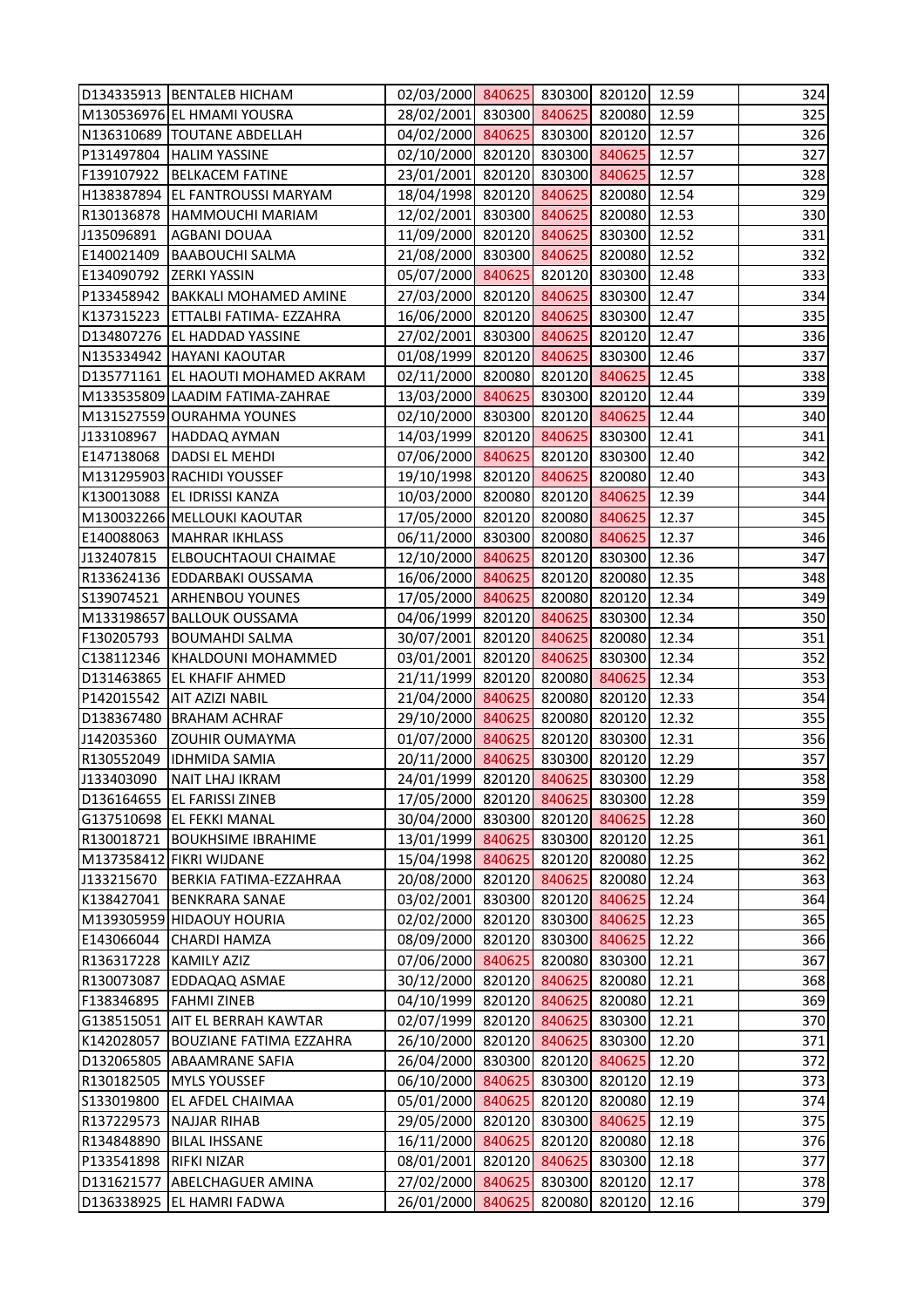|                          | D134335913   BENTALEB HICHAM         | 02/03/2000 840625 830300 820120 12.59 |        |               |       | 324 |
|--------------------------|--------------------------------------|---------------------------------------|--------|---------------|-------|-----|
|                          | M130536976 EL HMAMI YOUSRA           | 28/02/2001 830300 840625 820080       |        |               | 12.59 | 325 |
|                          | N136310689  TOUTANE ABDELLAH         | 04/02/2000 840625 830300 820120       |        |               | 12.57 | 326 |
|                          | P131497804 HALIM YASSINE             | 02/10/2000 820120 830300 840625       |        |               | 12.57 | 327 |
|                          | F139107922 BELKACEM FATINE           | 23/01/2001 820120 830300 840625       |        |               | 12.57 | 328 |
|                          | H138387894 EL FANTROUSSI MARYAM      | 18/04/1998 820120 840625 820080       |        |               | 12.54 | 329 |
|                          | R130136878 HAMMOUCHI MARIAM          | 12/02/2001 830300 840625 820080       |        |               | 12.53 | 330 |
| J135096891               | <b>AGBANI DOUAA</b>                  | 11/09/2000 820120 840625 830300       |        |               | 12.52 | 331 |
|                          | E140021409 BAABOUCHI SALMA           | 21/08/2000 830300 840625              |        | 820080        | 12.52 | 332 |
| E134090792 ZERKI YASSIN  |                                      | 05/07/2000 840625 820120 830300       |        |               | 12.48 | 333 |
|                          | P133458942   BAKKALI MOHAMED AMINE   | 27/03/2000 820120 840625 830300       |        |               | 12.47 | 334 |
|                          | K137315223 ETTALBI FATIMA- EZZAHRA   | 16/06/2000 820120 840625 830300       |        |               | 12.47 | 335 |
|                          | D134807276 EL HADDAD YASSINE         | 27/02/2001 830300 840625 820120       |        |               | 12.47 | 336 |
|                          | N135334942   HAYANI KAOUTAR          | 01/08/1999 820120 840625 830300       |        |               | 12.46 | 337 |
|                          | D135771161 EL HAOUTI MOHAMED AKRAM   | 02/11/2000 820080 820120 840625       |        |               | 12.45 | 338 |
|                          | M133535809 LAADIM FATIMA-ZAHRAE      | 13/03/2000 840625 830300 820120       |        |               | 12.44 | 339 |
|                          | M131527559 OURAHMA YOUNES            | 02/10/2000 830300 820120 840625       |        |               | 12.44 | 340 |
|                          | J133108967   HADDAQ AYMAN            | 14/03/1999 820120 840625 830300       |        |               | 12.41 | 341 |
|                          | E147138068   DADSI EL MEHDI          | 07/06/2000 840625 820120 830300       |        |               | 12.40 | 342 |
|                          | M131295903 RACHIDI YOUSSEF           | 19/10/1998 820120 840625 820080       |        |               | 12.40 | 343 |
|                          | K130013088 EL IDRISSI KANZA          | 10/03/2000 820080 820120 840625       |        |               | 12.39 | 344 |
|                          | M130032266 MELLOUKI KAOUTAR          | 17/05/2000 820120 820080 840625       |        |               | 12.37 | 345 |
|                          | E140088063   MAHRAR IKHLASS          | 06/11/2000 830300 820080 840625       |        |               | 12.37 | 346 |
|                          | J132407815   ELBOUCHTAOUI CHAIMAE    | 12/10/2000 840625 820120 830300       |        |               | 12.36 | 347 |
|                          | R133624136 EDDARBAKI OUSSAMA         | 16/06/2000 840625 820120 820080       |        |               | 12.35 | 348 |
|                          | S139074521 ARHENBOU YOUNES           | 17/05/2000 840625 820080 820120       |        |               | 12.34 | 349 |
|                          | M133198657 BALLOUK OUSSAMA           | 04/06/1999 820120 840625 830300       |        |               | 12.34 | 350 |
|                          | F130205793  BOUMAHDI SALMA           | 30/07/2001 820120 840625 820080       |        |               | 12.34 | 351 |
|                          | C138112346   KHALDOUNI MOHAMMED      | 03/01/2001 820120 840625 830300       |        |               | 12.34 | 352 |
|                          | D131463865 EL KHAFIF AHMED           | 21/11/1999 820120 820080 840625       |        |               | 12.34 | 353 |
|                          | P142015542   AIT AZIZI NABIL         | 21/04/2000 840625 820080 820120       |        |               | 12.33 | 354 |
|                          | D138367480 BRAHAM ACHRAF             | 29/10/2000 840625 820080 820120 12.32 |        |               |       | 355 |
| J142035360               | <b>ZOUHIR OUMAYMA</b>                | 01/07/2000 840625 820120 830300       |        |               | 12.31 | 356 |
|                          | R130552049  IDHMIDA SAMIA            | 20/11/2000 840625                     |        | 830300 820120 | 12.29 | 357 |
| J133403090               | NAIT LHAJ IKRAM                      | 24/01/1999 820120 840625 830300       |        |               | 12.29 | 358 |
|                          | D136164655 EL FARISSI ZINEB          | 17/05/2000 820120 840625              |        | 830300        | 12.28 | 359 |
|                          | G137510698 EL FEKKI MANAL            | 30/04/2000 830300 820120 840625       |        |               | 12.28 | 360 |
|                          | R130018721   BOUKHSIME IBRAHIME      | 13/01/1999 840625                     |        | 830300 820120 | 12.25 | 361 |
|                          | M137358412 FIKRI WIJDANE             | 15/04/1998 840625                     | 820120 | 820080        | 12.25 | 362 |
| J133215670               | BERKIA FATIMA-EZZAHRAA               | 20/08/2000 820120 840625 820080       |        |               | 12.24 | 363 |
|                          | K138427041 BENKRARA SANAE            | 03/02/2001 830300 820120 840625       |        |               | 12.24 | 364 |
|                          | M139305959 HIDAOUY HOURIA            | 02/02/2000 820120 830300 840625       |        |               | 12.23 | 365 |
|                          | E143066044 CHARDI HAMZA              | 08/09/2000 820120 830300 840625       |        |               | 12.22 | 366 |
| R136317228   KAMILY AZIZ |                                      | 07/06/2000 840625                     | 820080 | 830300        | 12.21 | 367 |
| R130073087               | <b>EDDAQAQ ASMAE</b>                 | 30/12/2000 820120 840625              |        | 820080        | 12.21 | 368 |
|                          | F138346895   FAHMI ZINEB             | 04/10/1999 820120 840625 820080       |        |               | 12.21 | 369 |
|                          | G138515051   AIT EL BERRAH KAWTAR    | 02/07/1999 820120 840625              |        | 830300        | 12.21 | 370 |
|                          | K142028057   BOUZIANE FATIMA EZZAHRA | 26/10/2000 820120 840625 830300       |        |               | 12.20 | 371 |
|                          | D132065805 ABAAMRANE SAFIA           | 26/04/2000 830300 820120 840625       |        |               | 12.20 | 372 |
|                          | R130182505   MYLS YOUSSEF            | 06/10/2000 840625                     |        | 830300 820120 | 12.19 | 373 |
| S133019800               | <b>EL AFDEL CHAIMAA</b>              | 05/01/2000 840625 820120 820080       |        |               | 12.19 | 374 |
|                          | R137229573 NAJJAR RIHAB              | 29/05/2000 820120 830300 840625       |        |               | 12.19 | 375 |
|                          | R134848890   BILAL IHSSANE           | 16/11/2000 840625                     |        | 820120 820080 | 12.18 | 376 |
| P133541898   RIFKI NIZAR |                                      | 08/01/2001 820120 840625              |        | 830300        | 12.18 | 377 |
| D131621577               | <b>ABELCHAGUER AMINA</b>             | 27/02/2000 840625                     | 830300 | 820120        | 12.17 | 378 |
|                          | D136338925 EL HAMRI FADWA            | 26/01/2000 840625 820080 820120       |        |               | 12.16 | 379 |
|                          |                                      |                                       |        |               |       |     |